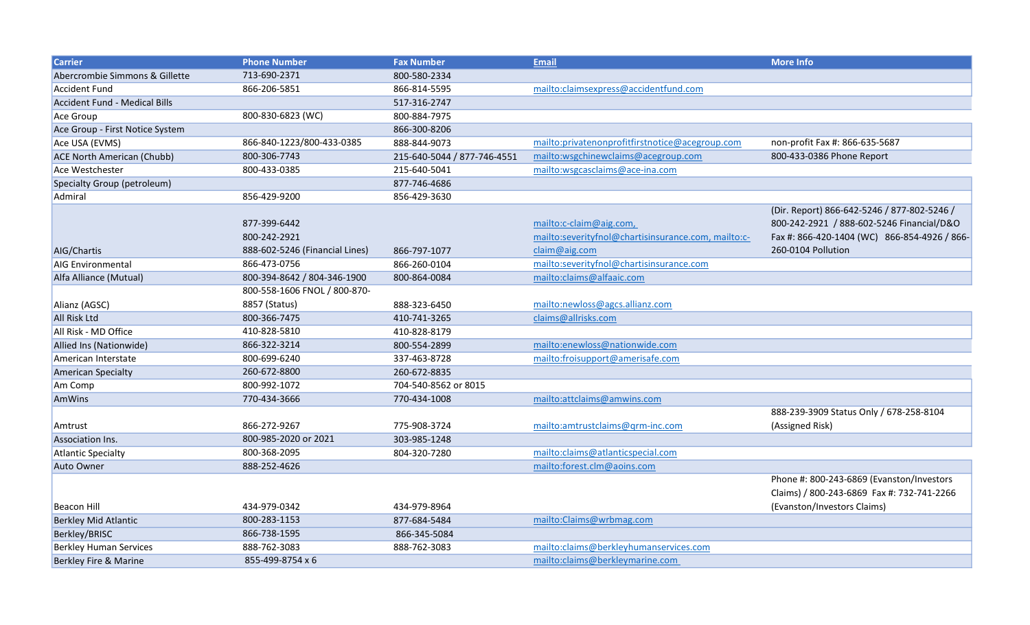| <b>Carrier</b>                       | <b>Phone Number</b>            | <b>Fax Number</b>           | <b>Email</b>                                        | <b>More Info</b>                             |
|--------------------------------------|--------------------------------|-----------------------------|-----------------------------------------------------|----------------------------------------------|
| Abercrombie Simmons & Gillette       | 713-690-2371                   | 800-580-2334                |                                                     |                                              |
| <b>Accident Fund</b>                 | 866-206-5851                   | 866-814-5595                | mailto:claimsexpress@accidentfund.com               |                                              |
| <b>Accident Fund - Medical Bills</b> |                                | 517-316-2747                |                                                     |                                              |
| Ace Group                            | 800-830-6823 (WC)              | 800-884-7975                |                                                     |                                              |
| Ace Group - First Notice System      |                                | 866-300-8206                |                                                     |                                              |
| Ace USA (EVMS)                       | 866-840-1223/800-433-0385      | 888-844-9073                | mailto:privatenonprofitfirstnotice@acegroup.com     | non-profit Fax #: 866-635-5687               |
| <b>ACE North American (Chubb)</b>    | 800-306-7743                   | 215-640-5044 / 877-746-4551 | mailto:wsgchinewclaims@acegroup.com                 | 800-433-0386 Phone Report                    |
| Ace Westchester                      | 800-433-0385                   | 215-640-5041                | mailto:wsgcasclaims@ace-ina.com                     |                                              |
| Specialty Group (petroleum)          |                                | 877-746-4686                |                                                     |                                              |
| Admiral                              | 856-429-9200                   | 856-429-3630                |                                                     |                                              |
|                                      |                                |                             |                                                     | (Dir. Report) 866-642-5246 / 877-802-5246 /  |
|                                      | 877-399-6442                   |                             | mailto:c-claim@aig.com,                             | 800-242-2921 / 888-602-5246 Financial/D&O    |
|                                      | 800-242-2921                   |                             | mailto:severityfnol@chartisinsurance.com, mailto:c- | Fax #: 866-420-1404 (WC) 866-854-4926 / 866- |
| AIG/Chartis                          | 888-602-5246 (Financial Lines) | 866-797-1077                | claim@aig.com                                       | 260-0104 Pollution                           |
| <b>AIG Environmental</b>             | 866-473-0756                   | 866-260-0104                | mailto:severityfnol@chartisinsurance.com            |                                              |
| Alfa Alliance (Mutual)               | 800-394-8642 / 804-346-1900    | 800-864-0084                | mailto:claims@alfaaic.com                           |                                              |
|                                      | 800-558-1606 FNOL / 800-870-   |                             |                                                     |                                              |
| Alianz (AGSC)                        | 8857 (Status)                  | 888-323-6450                | mailto:newloss@agcs.allianz.com                     |                                              |
| <b>All Risk Ltd</b>                  | 800-366-7475                   | 410-741-3265                | claims@allrisks.com                                 |                                              |
| All Risk - MD Office                 | 410-828-5810                   | 410-828-8179                |                                                     |                                              |
| Allied Ins (Nationwide)              | 866-322-3214                   | 800-554-2899                | mailto:enewloss@nationwide.com                      |                                              |
| American Interstate                  | 800-699-6240                   | 337-463-8728                | mailto:froisupport@amerisafe.com                    |                                              |
| <b>American Specialty</b>            | 260-672-8800                   | 260-672-8835                |                                                     |                                              |
| Am Comp                              | 800-992-1072                   | 704-540-8562 or 8015        |                                                     |                                              |
| AmWins                               | 770-434-3666                   | 770-434-1008                | mailto:attclaims@amwins.com                         |                                              |
|                                      |                                |                             |                                                     | 888-239-3909 Status Only / 678-258-8104      |
| Amtrust                              | 866-272-9267                   | 775-908-3724                | mailto:amtrustclaims@grm-inc.com                    | (Assigned Risk)                              |
| Association Ins.                     | 800-985-2020 or 2021           | 303-985-1248                |                                                     |                                              |
| Atlantic Specialty                   | 800-368-2095                   | 804-320-7280                | mailto:claims@atlanticspecial.com                   |                                              |
| Auto Owner                           | 888-252-4626                   |                             | mailto:forest.clm@aoins.com                         |                                              |
|                                      |                                |                             |                                                     | Phone #: 800-243-6869 (Evanston/Investors    |
|                                      |                                |                             |                                                     | Claims) / 800-243-6869 Fax #: 732-741-2266   |
| <b>Beacon Hill</b>                   | 434-979-0342                   | 434-979-8964                |                                                     | (Evanston/Investors Claims)                  |
| <b>Berkley Mid Atlantic</b>          | 800-283-1153                   | 877-684-5484                | mailto:Claims@wrbmag.com                            |                                              |
| Berkley/BRISC                        | 866-738-1595                   | 866-345-5084                |                                                     |                                              |
| <b>Berkley Human Services</b>        | 888-762-3083                   | 888-762-3083                | mailto:claims@berkleyhumanservices.com              |                                              |
| Berkley Fire & Marine                | 855-499-8754 x 6               |                             | mailto:claims@berkleymarine.com                     |                                              |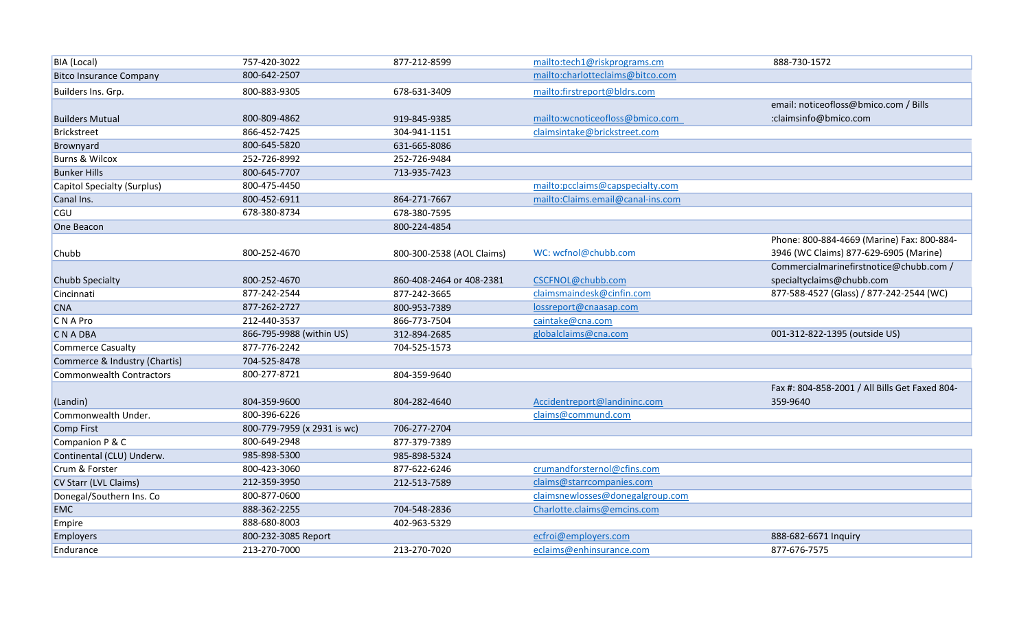| BIA (Local)                    | 757-420-3022                | 877-212-8599              | mailto:tech1@riskprograms.cm      | 888-730-1572                                   |
|--------------------------------|-----------------------------|---------------------------|-----------------------------------|------------------------------------------------|
| <b>Bitco Insurance Company</b> | 800-642-2507                |                           | mailto:charlotteclaims@bitco.com  |                                                |
| Builders Ins. Grp.             | 800-883-9305                | 678-631-3409              | mailto:firstreport@bldrs.com      |                                                |
|                                |                             |                           |                                   | email: noticeofloss@bmico.com / Bills          |
| <b>Builders Mutual</b>         | 800-809-4862                | 919-845-9385              | mailto:wcnoticeofloss@bmico.com   | :claimsinfo@bmico.com                          |
| Brickstreet                    | 866-452-7425                | 304-941-1151              | claimsintake@brickstreet.com      |                                                |
| Brownyard                      | 800-645-5820                | 631-665-8086              |                                   |                                                |
| <b>Burns &amp; Wilcox</b>      | 252-726-8992                | 252-726-9484              |                                   |                                                |
| <b>Bunker Hills</b>            | 800-645-7707                | 713-935-7423              |                                   |                                                |
| Capitol Specialty (Surplus)    | 800-475-4450                |                           | mailto:pcclaims@capspecialty.com  |                                                |
| Canal Ins.                     | 800-452-6911                | 864-271-7667              | mailto:Claims.email@canal-ins.com |                                                |
| <b>CGU</b>                     | 678-380-8734                | 678-380-7595              |                                   |                                                |
| One Beacon                     |                             | 800-224-4854              |                                   |                                                |
|                                |                             |                           |                                   | Phone: 800-884-4669 (Marine) Fax: 800-884-     |
| Chubb                          | 800-252-4670                | 800-300-2538 (AOL Claims) | WC: wcfnol@chubb.com              | 3946 (WC Claims) 877-629-6905 (Marine)         |
|                                |                             |                           |                                   | Commercialmarinefirstnotice@chubb.com /        |
| Chubb Specialty                | 800-252-4670                | 860-408-2464 or 408-2381  | CSCFNOL@chubb.com                 | specialtyclaims@chubb.com                      |
| Cincinnati                     | 877-242-2544                | 877-242-3665              | claimsmaindesk@cinfin.com         | 877-588-4527 (Glass) / 877-242-2544 (WC)       |
| <b>CNA</b>                     | 877-262-2727                | 800-953-7389              | lossreport@cnaasap.com            |                                                |
| C N A Pro                      | 212-440-3537                | 866-773-7504              | caintake@cna.com                  |                                                |
| C N A DBA                      | 866-795-9988 (within US)    | 312-894-2685              | globalclaims@cna.com              | 001-312-822-1395 (outside US)                  |
| <b>Commerce Casualty</b>       | 877-776-2242                | 704-525-1573              |                                   |                                                |
| Commerce & Industry (Chartis)  | 704-525-8478                |                           |                                   |                                                |
| Commonwealth Contractors       | 800-277-8721                | 804-359-9640              |                                   |                                                |
|                                |                             |                           |                                   | Fax #: 804-858-2001 / All Bills Get Faxed 804- |
| (Landin)                       | 804-359-9600                | 804-282-4640              | Accidentreport@landininc.com      | 359-9640                                       |
| Commonwealth Under.            | 800-396-6226                |                           | claims@commund.com                |                                                |
| Comp First                     | 800-779-7959 (x 2931 is wc) | 706-277-2704              |                                   |                                                |
| Companion P & C                | 800-649-2948                | 877-379-7389              |                                   |                                                |
| Continental (CLU) Underw.      | 985-898-5300                | 985-898-5324              |                                   |                                                |
| Crum & Forster                 | 800-423-3060                | 877-622-6246              | crumandforsternol@cfins.com       |                                                |
| CV Starr (LVL Claims)          | 212-359-3950                | 212-513-7589              | claims@starrcompanies.com         |                                                |
| Donegal/Southern Ins. Co       | 800-877-0600                |                           | claimsnewlosses@donegalgroup.com  |                                                |
| <b>EMC</b>                     | 888-362-2255                | 704-548-2836              | Charlotte.claims@emcins.com       |                                                |
| Empire                         | 888-680-8003                | 402-963-5329              |                                   |                                                |
| <b>Employers</b>               | 800-232-3085 Report         |                           | ecfroi@employers.com              | 888-682-6671 Inquiry                           |
| Endurance                      | 213-270-7000                | 213-270-7020              | eclaims@enhinsurance.com          | 877-676-7575                                   |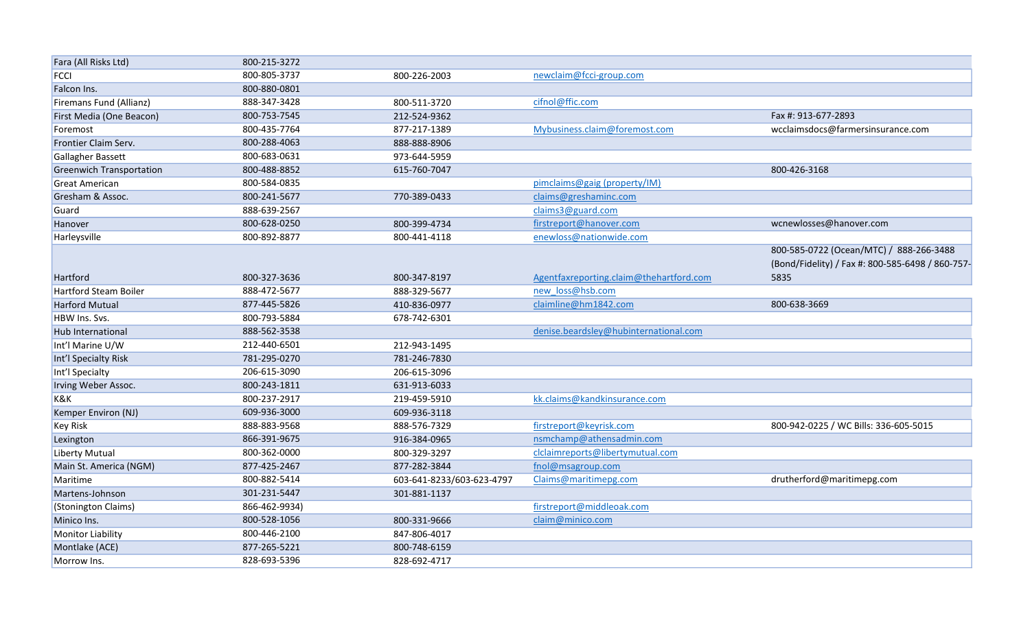| Fara (All Risks Ltd)            | 800-215-3272  |                           |                                         |                                                                                             |
|---------------------------------|---------------|---------------------------|-----------------------------------------|---------------------------------------------------------------------------------------------|
| <b>FCCI</b>                     | 800-805-3737  | 800-226-2003              | newclaim@fcci-group.com                 |                                                                                             |
| Falcon Ins.                     | 800-880-0801  |                           |                                         |                                                                                             |
| Firemans Fund (Allianz)         | 888-347-3428  | 800-511-3720              | cifnol@ffic.com                         |                                                                                             |
| First Media (One Beacon)        | 800-753-7545  | 212-524-9362              |                                         | Fax #: 913-677-2893                                                                         |
| Foremost                        | 800-435-7764  | 877-217-1389              | Mybusiness.claim@foremost.com           | wcclaimsdocs@farmersinsurance.com                                                           |
| Frontier Claim Serv.            | 800-288-4063  | 888-888-8906              |                                         |                                                                                             |
| Gallagher Bassett               | 800-683-0631  | 973-644-5959              |                                         |                                                                                             |
| <b>Greenwich Transportation</b> | 800-488-8852  | 615-760-7047              |                                         | 800-426-3168                                                                                |
| <b>Great American</b>           | 800-584-0835  |                           | pimclaims@gaig (property/IM)            |                                                                                             |
| Gresham & Assoc.                | 800-241-5677  | 770-389-0433              | claims@greshaminc.com                   |                                                                                             |
| Guard                           | 888-639-2567  |                           | claims3@guard.com                       |                                                                                             |
| Hanover                         | 800-628-0250  | 800-399-4734              | firstreport@hanover.com                 | wcnewlosses@hanover.com                                                                     |
| Harleysville                    | 800-892-8877  | 800-441-4118              | enewloss@nationwide.com                 |                                                                                             |
|                                 |               |                           |                                         | 800-585-0722 (Ocean/MTC) / 888-266-3488<br>(Bond/Fidelity) / Fax #: 800-585-6498 / 860-757- |
| Hartford                        | 800-327-3636  | 800-347-8197              | Agentfaxreporting.claim@thehartford.com | 5835                                                                                        |
| Hartford Steam Boiler           | 888-472-5677  | 888-329-5677              | new loss@hsb.com                        |                                                                                             |
| <b>Harford Mutual</b>           | 877-445-5826  | 410-836-0977              | claimline@hm1842.com                    | 800-638-3669                                                                                |
| HBW Ins. Svs.                   | 800-793-5884  | 678-742-6301              |                                         |                                                                                             |
| Hub International               | 888-562-3538  |                           | denise.beardsley@hubinternational.com   |                                                                                             |
| Int'l Marine U/W                | 212-440-6501  | 212-943-1495              |                                         |                                                                                             |
| Int'l Specialty Risk            | 781-295-0270  | 781-246-7830              |                                         |                                                                                             |
| Int'l Specialty                 | 206-615-3090  | 206-615-3096              |                                         |                                                                                             |
| Irving Weber Assoc.             | 800-243-1811  | 631-913-6033              |                                         |                                                                                             |
| K&K                             | 800-237-2917  | 219-459-5910              | kk.claims@kandkinsurance.com            |                                                                                             |
| Kemper Environ (NJ)             | 609-936-3000  | 609-936-3118              |                                         |                                                                                             |
| <b>Key Risk</b>                 | 888-883-9568  | 888-576-7329              | firstreport@keyrisk.com                 | 800-942-0225 / WC Bills: 336-605-5015                                                       |
| Lexington                       | 866-391-9675  | 916-384-0965              | nsmchamp@athensadmin.com                |                                                                                             |
| <b>Liberty Mutual</b>           | 800-362-0000  | 800-329-3297              | clclaimreports@libertymutual.com        |                                                                                             |
| Main St. America (NGM)          | 877-425-2467  | 877-282-3844              | fnol@msagroup.com                       |                                                                                             |
| Maritime                        | 800-882-5414  | 603-641-8233/603-623-4797 | Claims@maritimepg.com                   | drutherford@maritimepg.com                                                                  |
| Martens-Johnson                 | 301-231-5447  | 301-881-1137              |                                         |                                                                                             |
| (Stonington Claims)             | 866-462-9934) |                           | firstreport@middleoak.com               |                                                                                             |
| Minico Ins.                     | 800-528-1056  | 800-331-9666              | claim@minico.com                        |                                                                                             |
| Monitor Liability               | 800-446-2100  | 847-806-4017              |                                         |                                                                                             |
| Montlake (ACE)                  | 877-265-5221  | 800-748-6159              |                                         |                                                                                             |
| Morrow Ins.                     | 828-693-5396  | 828-692-4717              |                                         |                                                                                             |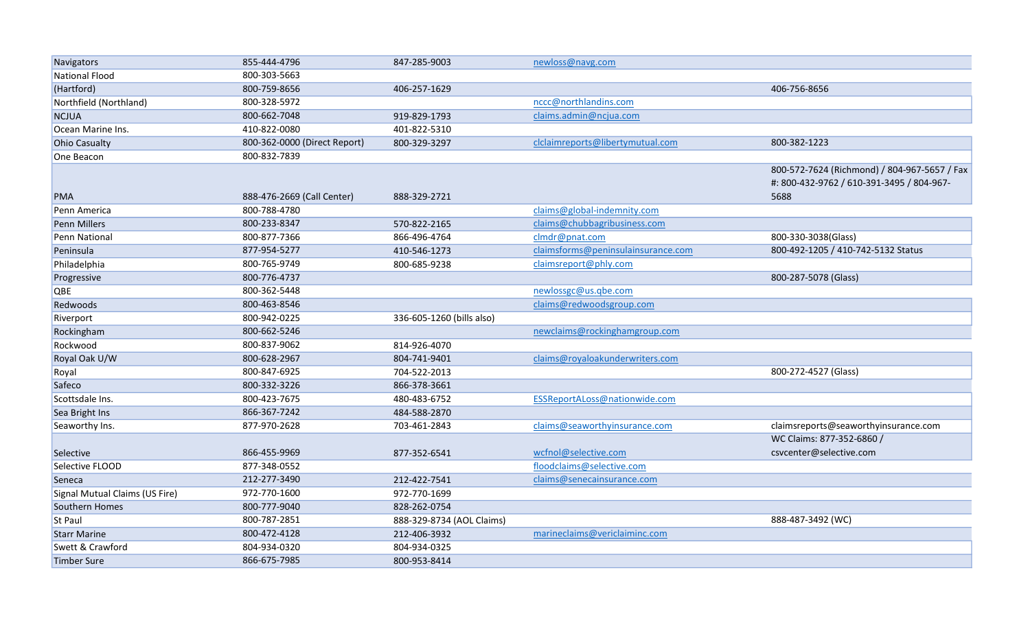| Navigators                     | 855-444-4796                 | 847-285-9003              | newloss@navg.com                   |                                              |
|--------------------------------|------------------------------|---------------------------|------------------------------------|----------------------------------------------|
| National Flood                 | 800-303-5663                 |                           |                                    |                                              |
| (Hartford)                     | 800-759-8656                 | 406-257-1629              |                                    | 406-756-8656                                 |
| Northfield (Northland)         | 800-328-5972                 |                           | nccc@northlandins.com              |                                              |
| <b>NCJUA</b>                   | 800-662-7048                 | 919-829-1793              | claims.admin@ncjua.com             |                                              |
| Ocean Marine Ins.              | 410-822-0080                 | 401-822-5310              |                                    |                                              |
| <b>Ohio Casualty</b>           | 800-362-0000 (Direct Report) | 800-329-3297              | clclaimreports@libertymutual.com   | 800-382-1223                                 |
| One Beacon                     | 800-832-7839                 |                           |                                    |                                              |
|                                |                              |                           |                                    | 800-572-7624 (Richmond) / 804-967-5657 / Fax |
|                                |                              |                           |                                    | #: 800-432-9762 / 610-391-3495 / 804-967-    |
| <b>PMA</b>                     | 888-476-2669 (Call Center)   | 888-329-2721              |                                    | 5688                                         |
| Penn America                   | 800-788-4780                 |                           | claims@global-indemnity.com        |                                              |
| Penn Millers                   | 800-233-8347                 | 570-822-2165              | claims@chubbagribusiness.com       |                                              |
| Penn National                  | 800-877-7366                 | 866-496-4764              | clmdr@pnat.com                     | 800-330-3038(Glass)                          |
| Peninsula                      | 877-954-5277                 | 410-546-1273              | claimsforms@peninsulainsurance.com | 800-492-1205 / 410-742-5132 Status           |
| Philadelphia                   | 800-765-9749                 | 800-685-9238              | claimsreport@phly.com              |                                              |
| Progressive                    | 800-776-4737                 |                           |                                    | 800-287-5078 (Glass)                         |
| QBE                            | 800-362-5448                 |                           | newlossgc@us.gbe.com               |                                              |
| Redwoods                       | 800-463-8546                 |                           | claims@redwoodsgroup.com           |                                              |
| Riverport                      | 800-942-0225                 | 336-605-1260 (bills also) |                                    |                                              |
| Rockingham                     | 800-662-5246                 |                           | newclaims@rockinghamgroup.com      |                                              |
| Rockwood                       | 800-837-9062                 | 814-926-4070              |                                    |                                              |
| Royal Oak U/W                  | 800-628-2967                 | 804-741-9401              | claims@royaloakunderwriters.com    |                                              |
| Royal                          | 800-847-6925                 | 704-522-2013              |                                    | 800-272-4527 (Glass)                         |
| Safeco                         | 800-332-3226                 | 866-378-3661              |                                    |                                              |
| Scottsdale Ins.                | 800-423-7675                 | 480-483-6752              | ESSReportALoss@nationwide.com      |                                              |
| Sea Bright Ins                 | 866-367-7242                 | 484-588-2870              |                                    |                                              |
| Seaworthy Ins.                 | 877-970-2628                 | 703-461-2843              | claims@seaworthyinsurance.com      | claimsreports@seaworthyinsurance.com         |
|                                |                              |                           |                                    | WC Claims: 877-352-6860 /                    |
| Selective                      | 866-455-9969                 | 877-352-6541              | wcfnol@selective.com               | csvcenter@selective.com                      |
| Selective FLOOD                | 877-348-0552                 |                           | floodclaims@selective.com          |                                              |
| Seneca                         | 212-277-3490                 | 212-422-7541              | claims@senecainsurance.com         |                                              |
| Signal Mutual Claims (US Fire) | 972-770-1600                 | 972-770-1699              |                                    |                                              |
| Southern Homes                 | 800-777-9040                 | 828-262-0754              |                                    |                                              |
| St Paul                        | 800-787-2851                 | 888-329-8734 (AOL Claims) |                                    | 888-487-3492 (WC)                            |
| <b>Starr Marine</b>            | 800-472-4128                 | 212-406-3932              | marineclaims@vericlaiminc.com      |                                              |
| Swett & Crawford               | 804-934-0320                 | 804-934-0325              |                                    |                                              |
| Timber Sure                    | 866-675-7985                 | 800-953-8414              |                                    |                                              |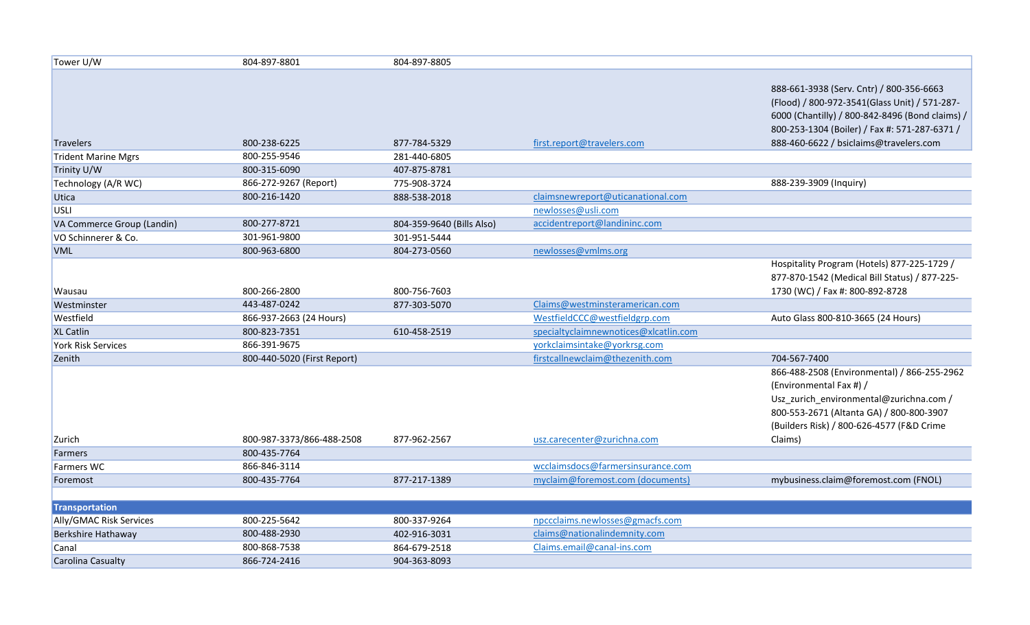| Tower U/W                  | 804-897-8801                | 804-897-8805              |                                       |                                                 |
|----------------------------|-----------------------------|---------------------------|---------------------------------------|-------------------------------------------------|
|                            |                             |                           |                                       |                                                 |
|                            |                             |                           |                                       | 888-661-3938 (Serv. Cntr) / 800-356-6663        |
|                            |                             |                           |                                       | (Flood) / 800-972-3541(Glass Unit) / 571-287-   |
|                            |                             |                           |                                       | 6000 (Chantilly) / 800-842-8496 (Bond claims) / |
|                            |                             |                           |                                       | 800-253-1304 (Boiler) / Fax #: 571-287-6371 /   |
| Travelers                  | 800-238-6225                | 877-784-5329              | first.report@travelers.com            | 888-460-6622 / bsiclaims@travelers.com          |
| Trident Marine Mgrs        | 800-255-9546                | 281-440-6805              |                                       |                                                 |
| Trinity U/W                | 800-315-6090                | 407-875-8781              |                                       |                                                 |
| Technology (A/R WC)        | 866-272-9267 (Report)       | 775-908-3724              |                                       | 888-239-3909 (Inquiry)                          |
| Utica                      | 800-216-1420                | 888-538-2018              | claimsnewreport@uticanational.com     |                                                 |
| USLI                       |                             |                           | newlosses@usli.com                    |                                                 |
| VA Commerce Group (Landin) | 800-277-8721                | 804-359-9640 (Bills Also) | accidentreport@landininc.com          |                                                 |
| VO Schinnerer & Co.        | 301-961-9800                | 301-951-5444              |                                       |                                                 |
| <b>VML</b>                 | 800-963-6800                | 804-273-0560              | newlosses@vmlms.org                   |                                                 |
|                            |                             |                           |                                       | Hospitality Program (Hotels) 877-225-1729 /     |
|                            |                             |                           |                                       | 877-870-1542 (Medical Bill Status) / 877-225-   |
| Wausau                     | 800-266-2800                | 800-756-7603              |                                       | 1730 (WC) / Fax #: 800-892-8728                 |
| Westminster                | 443-487-0242                | 877-303-5070              | Claims@westminsteramerican.com        |                                                 |
| Westfield                  | 866-937-2663 (24 Hours)     |                           | WestfieldCCC@westfieldgrp.com         | Auto Glass 800-810-3665 (24 Hours)              |
| <b>XL Catlin</b>           | 800-823-7351                | 610-458-2519              | specialtyclaimnewnotices@xlcatlin.com |                                                 |
| <b>York Risk Services</b>  | 866-391-9675                |                           | yorkclaimsintake@yorkrsg.com          |                                                 |
| Zenith                     | 800-440-5020 (First Report) |                           | firstcallnewclaim@thezenith.com       | 704-567-7400                                    |
|                            |                             |                           |                                       | 866-488-2508 (Environmental) / 866-255-2962     |
|                            |                             |                           |                                       | (Environmental Fax #) /                         |
|                            |                             |                           |                                       | Usz_zurich_environmental@zurichna.com /         |
|                            |                             |                           |                                       | 800-553-2671 (Altanta GA) / 800-800-3907        |
|                            |                             |                           |                                       | (Builders Risk) / 800-626-4577 (F&D Crime       |
| Zurich                     | 800-987-3373/866-488-2508   | 877-962-2567              | usz.carecenter@zurichna.com           | Claims)                                         |
| Farmers                    | 800-435-7764                |                           |                                       |                                                 |
| <b>Farmers WC</b>          | 866-846-3114                |                           | wcclaimsdocs@farmersinsurance.com     |                                                 |
| Foremost                   | 800-435-7764                | 877-217-1389              | myclaim@foremost.com (documents)      | mybusiness.claim@foremost.com (FNOL)            |
|                            |                             |                           |                                       |                                                 |
| <b>Transportation</b>      |                             |                           |                                       |                                                 |
| Ally/GMAC Risk Services    | 800-225-5642                | 800-337-9264              | npccclaims.newlosses@gmacfs.com       |                                                 |
| Berkshire Hathaway         | 800-488-2930                | 402-916-3031              | claims@nationalindemnity.com          |                                                 |
| Canal                      | 800-868-7538                | 864-679-2518              | Claims.email@canal-ins.com            |                                                 |
| Carolina Casualty          | 866-724-2416                | 904-363-8093              |                                       |                                                 |